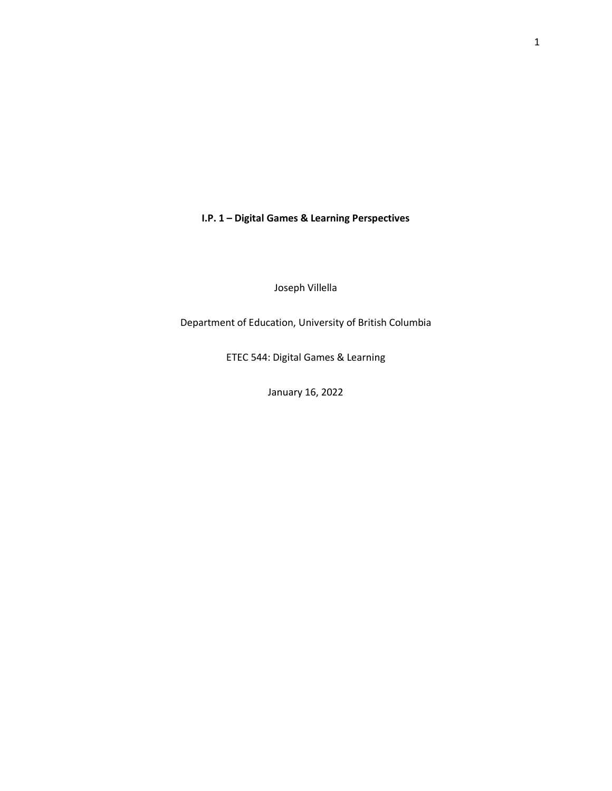**I.P. 1 – Digital Games & Learning Perspectives**

Joseph Villella

Department of Education, University of British Columbia

ETEC 544: Digital Games & Learning

January 16, 2022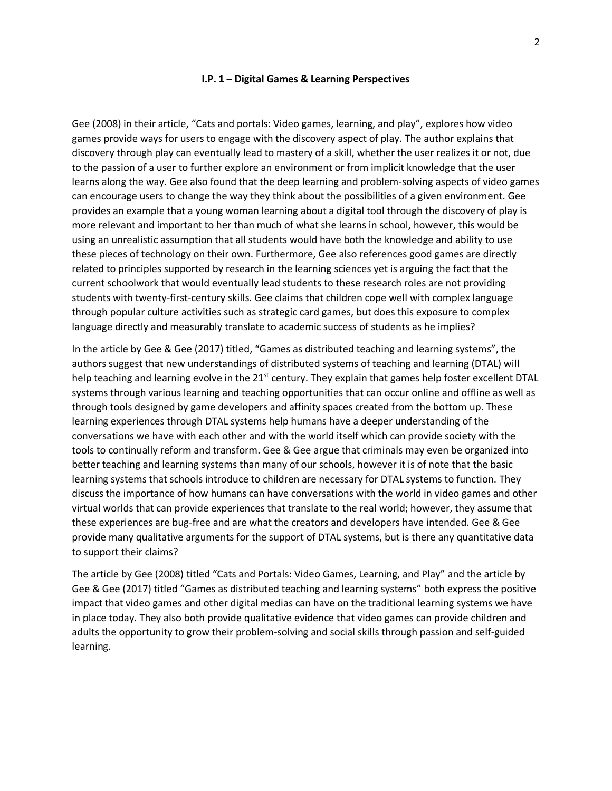## **I.P. 1 – Digital Games & Learning Perspectives**

Gee (2008) in their article, "Cats and portals: Video games, learning, and play", explores how video games provide ways for users to engage with the discovery aspect of play. The author explains that discovery through play can eventually lead to mastery of a skill, whether the user realizes it or not, due to the passion of a user to further explore an environment or from implicit knowledge that the user learns along the way. Gee also found that the deep learning and problem-solving aspects of video games can encourage users to change the way they think about the possibilities of a given environment. Gee provides an example that a young woman learning about a digital tool through the discovery of play is more relevant and important to her than much of what she learns in school, however, this would be using an unrealistic assumption that all students would have both the knowledge and ability to use these pieces of technology on their own. Furthermore, Gee also references good games are directly related to principles supported by research in the learning sciences yet is arguing the fact that the current schoolwork that would eventually lead students to these research roles are not providing students with twenty-first-century skills. Gee claims that children cope well with complex language through popular culture activities such as strategic card games, but does this exposure to complex language directly and measurably translate to academic success of students as he implies?

In the article by Gee & Gee (2017) titled, "Games as distributed teaching and learning systems", the authors suggest that new understandings of distributed systems of teaching and learning (DTAL) will help teaching and learning evolve in the 21<sup>st</sup> century. They explain that games help foster excellent DTAL systems through various learning and teaching opportunities that can occur online and offline as well as through tools designed by game developers and affinity spaces created from the bottom up. These learning experiences through DTAL systems help humans have a deeper understanding of the conversations we have with each other and with the world itself which can provide society with the tools to continually reform and transform. Gee & Gee argue that criminals may even be organized into better teaching and learning systems than many of our schools, however it is of note that the basic learning systems that schools introduce to children are necessary for DTAL systems to function. They discuss the importance of how humans can have conversations with the world in video games and other virtual worlds that can provide experiences that translate to the real world; however, they assume that these experiences are bug-free and are what the creators and developers have intended. Gee & Gee provide many qualitative arguments for the support of DTAL systems, but is there any quantitative data to support their claims?

The article by Gee (2008) titled "Cats and Portals: Video Games, Learning, and Play" and the article by Gee & Gee (2017) titled "Games as distributed teaching and learning systems" both express the positive impact that video games and other digital medias can have on the traditional learning systems we have in place today. They also both provide qualitative evidence that video games can provide children and adults the opportunity to grow their problem-solving and social skills through passion and self-guided learning.